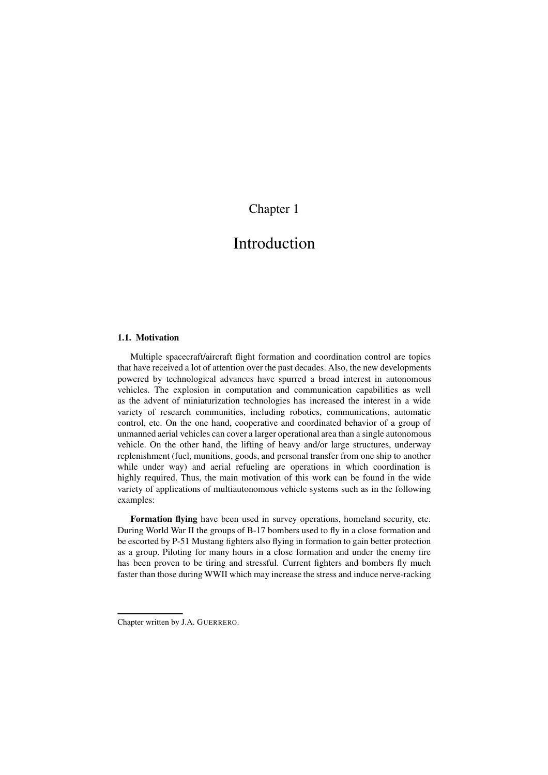## Chapter 1

# Introduction

### **1.1. Motivation**

Multiple spacecraft/aircraft flight formation and coordination control are topics that have received a lot of attention over the past decades. Also, the new developments powered by technological advances have spurred a broad interest in autonomous vehicles. The explosion in computation and communication capabilities as well as the advent of miniaturization technologies has increased the interest in a wide variety of research communities, including robotics, communications, automatic control, etc. On the one hand, cooperative and coordinated behavior of a group of unmanned aerial vehicles can cover a larger operational area than a single autonomous vehicle. On the other hand, the lifting of heavy and/or large structures, underway replenishment (fuel, munitions, goods, and personal transfer from one ship to another while under way) and aerial refueling are operations in which coordination is highly required. Thus, the main motivation of this work can be found in the wide variety of applications of multiautonomous vehicle systems such as in the following examples:

**Formation flying** have been used in survey operations, homeland security, etc. During World War II the groups of B-17 bombers used to fly in a close formation and be escorted by P-51 Mustang fighters also flying in formation to gain better protection as a group. Piloting for many hours in a close formation and under the enemy fire has been proven to be tiring and stressful. Current fighters and bombers fly much faster than those during WWII which may increase the stress and induce nerve-racking

Chapter written by J.A. GUERRERO.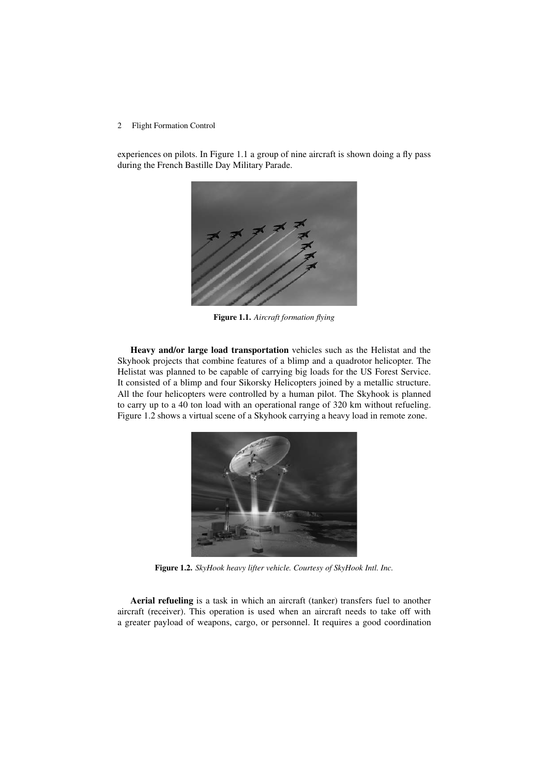experiences on pilots. In Figure 1.1 a group of nine aircraft is shown doing a fly pass during the French Bastille Day Military Parade.



**Figure 1.1.** *Aircraft formation flying*

**Heavy and/or large load transportation** vehicles such as the Helistat and the Skyhook projects that combine features of a blimp and a quadrotor helicopter. The Helistat was planned to be capable of carrying big loads for the US Forest Service. It consisted of a blimp and four Sikorsky Helicopters joined by a metallic structure. All the four helicopters were controlled by a human pilot. The Skyhook is planned to carry up to a 40 ton load with an operational range of 320 km without refueling. Figure 1.2 shows a virtual scene of a Skyhook carrying a heavy load in remote zone.



**Figure 1.2.** *SkyHook heavy lifter vehicle. Courtesy of SkyHook Intl. Inc.*

**Aerial refueling** is a task in which an aircraft (tanker) transfers fuel to another aircraft (receiver). This operation is used when an aircraft needs to take off with a greater payload of weapons, cargo, or personnel. It requires a good coordination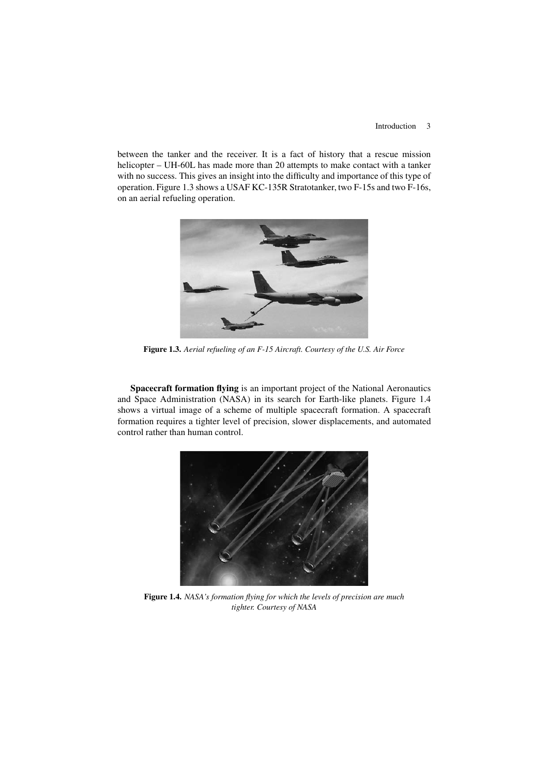### Introduction 3

between the tanker and the receiver. It is a fact of history that a rescue mission helicopter – UH-60L has made more than 20 attempts to make contact with a tanker with no success. This gives an insight into the difficulty and importance of this type of operation. Figure 1.3 shows a USAF KC-135R Stratotanker, two F-15s and two F-16s, on an aerial refueling operation.



**Figure 1.3.** *Aerial refueling of an F-15 Aircraft. Courtesy of the U.S. Air Force*

**Spacecraft formation flying** is an important project of the National Aeronautics and Space Administration (NASA) in its search for Earth-like planets. Figure 1.4 shows a virtual image of a scheme of multiple spacecraft formation. A spacecraft formation requires a tighter level of precision, slower displacements, and automated control rather than human control.



**Figure 1.4.** *NASA's formation flying for which the levels of precision are much tighter. Courtesy of NASA*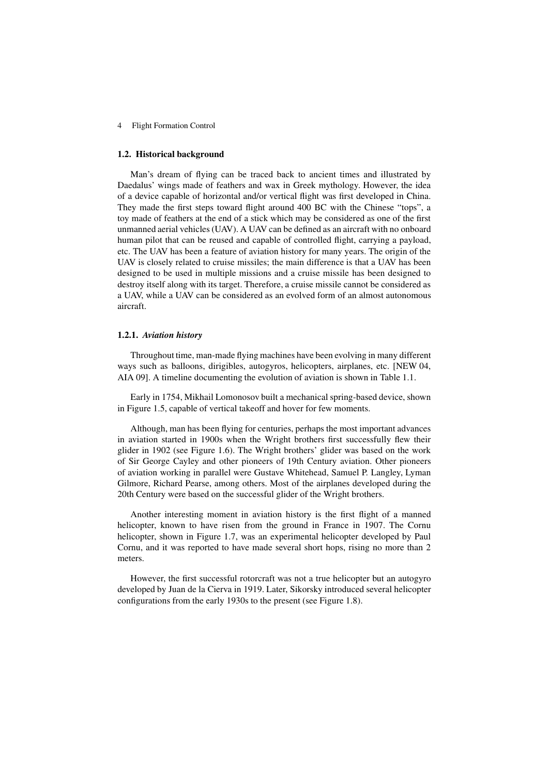### **1.2. Historical background**

Man's dream of flying can be traced back to ancient times and illustrated by Daedalus' wings made of feathers and wax in Greek mythology. However, the idea of a device capable of horizontal and/or vertical flight was first developed in China. They made the first steps toward flight around 400 BC with the Chinese "tops", a toy made of feathers at the end of a stick which may be considered as one of the first unmanned aerial vehicles(UAV). A UAV can be defined as an aircraft with no onboard human pilot that can be reused and capable of controlled flight, carrying a payload, etc. The UAV has been a feature of aviation history for many years. The origin of the UAV is closely related to cruise missiles; the main difference is that a UAV has been designed to be used in multiple missions and a cruise missile has been designed to destroy itself along with its target. Therefore, a cruise missile cannot be considered as a UAV, while a UAV can be considered as an evolved form of an almost autonomous aircraft.

#### **1.2.1.** *Aviation history*

Throughout time, man-made flying machines have been evolving in many different ways such as balloons, dirigibles, autogyros, helicopters, airplanes, etc. [NEW 04, AIA 09]. A timeline documenting the evolution of aviation is shown in Table 1.1.

Early in 1754, Mikhail Lomonosov built a mechanical spring-based device, shown in Figure 1.5, capable of vertical takeoff and hover for few moments.

Although, man has been flying for centuries, perhaps the most important advances in aviation started in 1900s when the Wright brothers first successfully flew their glider in 1902 (see Figure 1.6). The Wright brothers' glider was based on the work of Sir George Cayley and other pioneers of 19th Century aviation. Other pioneers of aviation working in parallel were Gustave Whitehead, Samuel P. Langley, Lyman Gilmore, Richard Pearse, among others. Most of the airplanes developed during the 20th Century were based on the successful glider of the Wright brothers.

Another interesting moment in aviation history is the first flight of a manned helicopter, known to have risen from the ground in France in 1907. The Cornu helicopter, shown in Figure 1.7, was an experimental helicopter developed by Paul Cornu, and it was reported to have made several short hops, rising no more than 2 meters.

However, the first successful rotorcraft was not a true helicopter but an autogyro developed by Juan de la Cierva in 1919. Later, Sikorsky introduced several helicopter configurations from the early 1930s to the present (see Figure 1.8).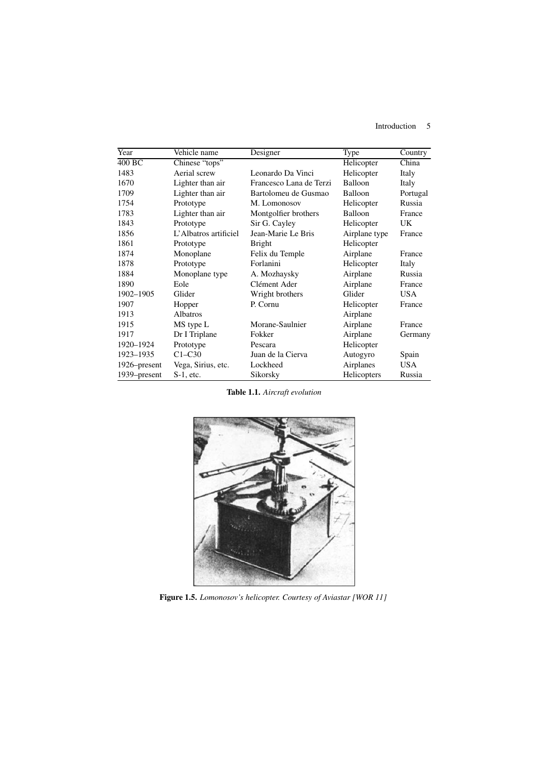Introduction 5

| Year         | Vehicle name          | Designer                | Type          | Country    |
|--------------|-----------------------|-------------------------|---------------|------------|
| 400 BC       | Chinese "tops"        |                         | Helicopter    | China      |
| 1483         | Aerial screw          | Leonardo Da Vinci       | Helicopter    | Italy      |
| 1670         | Lighter than air      | Francesco Lana de Terzi | Balloon       | Italy      |
| 1709         | Lighter than air      | Bartolomeu de Gusmao    | Balloon       | Portugal   |
| 1754         | Prototype             | M. Lomonosov            | Helicopter    | Russia     |
| 1783         | Lighter than air      | Montgolfier brothers    | Balloon       | France     |
| 1843         | Prototype             | Sir G. Cayley           | Helicopter    | <b>UK</b>  |
| 1856         | L'Albatros artificiel | Jean-Marie Le Bris      | Airplane type | France     |
| 1861         | Prototype             | <b>Bright</b>           | Helicopter    |            |
| 1874         | Monoplane             | Felix du Temple         | Airplane      | France     |
| 1878         | Prototype             | Forlanini               | Helicopter    | Italy      |
| 1884         | Monoplane type        | A. Mozhaysky            | Airplane      | Russia     |
| 1890         | Eole                  | Clément Ader            | Airplane      | France     |
| 1902-1905    | Glider                | Wright brothers         | Glider        | <b>USA</b> |
| 1907         | Hopper                | P. Cornu                | Helicopter    | France     |
| 1913         | Albatros              |                         | Airplane      |            |
| 1915         | MS type L             | Morane-Saulnier         | Airplane      | France     |
| 1917         | Dr I Triplane         | Fokker                  | Airplane      | Germany    |
| 1920-1924    | Prototype             | Pescara                 | Helicopter    |            |
| 1923-1935    | $C1-C30$              | Juan de la Cierva       | Autogyro      | Spain      |
| 1926–present | Vega, Sirius, etc.    | Lockheed                | Airplanes     | <b>USA</b> |
| 1939–present | $S-1$ , etc.          | Sikorsky                | Helicopters   | Russia     |

**Table 1.1.** *Aircraft evolution*



**Figure 1.5.** *Lomonosov's helicopter. Courtesy of Aviastar [WOR 11]*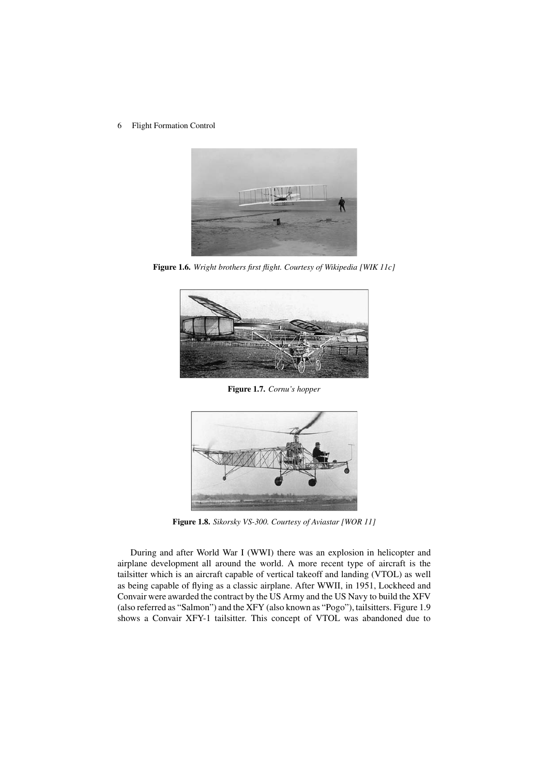6 Flight Formation Control



**Figure 1.6.** *Wright brothers first flight. Courtesy of Wikipedia [WIK 11c]*



**Figure 1.7.** *Cornu's hopper*



**Figure 1.8.** *Sikorsky VS-300. Courtesy of Aviastar [WOR 11]*

During and after World War I (WWI) there was an explosion in helicopter and airplane development all around the world. A more recent type of aircraft is the tailsitter which is an aircraft capable of vertical takeoff and landing (VTOL) as well as being capable of flying as a classic airplane. After WWII, in 1951, Lockheed and Convair were awarded the contract by the US Army and the US Navy to build the XFV (also referred as "Salmon") and the XFY (also known as "Pogo"), tailsitters. Figure 1.9 shows a Convair XFY-1 tailsitter. This concept of VTOL was abandoned due to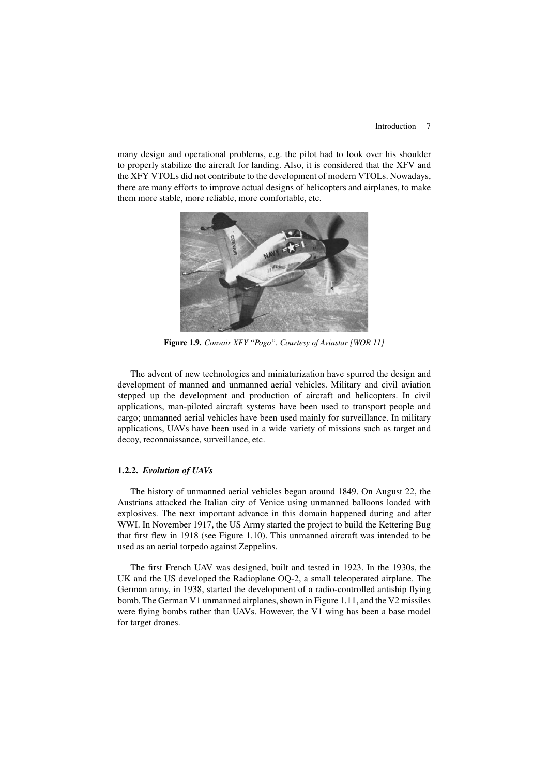### Introduction 7

many design and operational problems, e.g. the pilot had to look over his shoulder to properly stabilize the aircraft for landing. Also, it is considered that the XFV and the XFY VTOLs did not contribute to the development of modern VTOLs. Nowadays, there are many efforts to improve actual designs of helicopters and airplanes, to make them more stable, more reliable, more comfortable, etc.



**Figure 1.9.** *Convair XFY "Pogo". Courtesy of Aviastar [WOR 11]*

The advent of new technologies and miniaturization have spurred the design and development of manned and unmanned aerial vehicles. Military and civil aviation stepped up the development and production of aircraft and helicopters. In civil applications, man-piloted aircraft systems have been used to transport people and cargo; unmanned aerial vehicles have been used mainly for surveillance. In military applications, UAVs have been used in a wide variety of missions such as target and decoy, reconnaissance, surveillance, etc.

### **1.2.2.** *Evolution of UAVs*

The history of unmanned aerial vehicles began around 1849. On August 22, the Austrians attacked the Italian city of Venice using unmanned balloons loaded with explosives. The next important advance in this domain happened during and after WWI. In November 1917, the US Army started the project to build the Kettering Bug that first flew in 1918 (see Figure 1.10). This unmanned aircraft was intended to be used as an aerial torpedo against Zeppelins.

The first French UAV was designed, built and tested in 1923. In the 1930s, the UK and the US developed the Radioplane OQ-2, a small teleoperated airplane. The German army, in 1938, started the development of a radio-controlled antiship flying bomb. The German V1 unmanned airplanes, shown in Figure 1.11, and the V2 missiles were flying bombs rather than UAVs. However, the V1 wing has been a base model for target drones.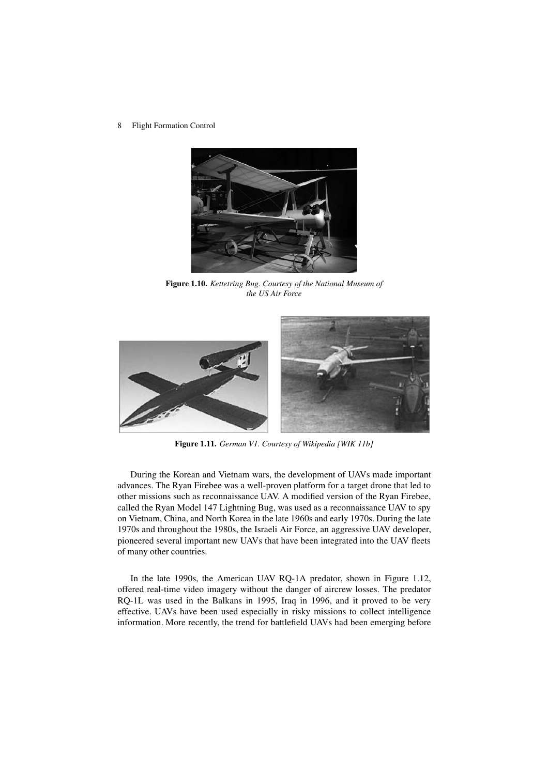8 Flight Formation Control



**Figure 1.10.** *Kettetring Bug. Courtesy of the National Museum of the US Air Force*



**Figure 1.11.** *German V1. Courtesy of Wikipedia [WIK 11b]*

During the Korean and Vietnam wars, the development of UAVs made important advances. The Ryan Firebee was a well-proven platform for a target drone that led to other missions such as reconnaissance UAV. A modified version of the Ryan Firebee, called the Ryan Model 147 Lightning Bug, was used as a reconnaissance UAV to spy on Vietnam, China, and North Korea in the late 1960s and early 1970s. During the late 1970s and throughout the 1980s, the Israeli Air Force, an aggressive UAV developer, pioneered several important new UAVs that have been integrated into the UAV fleets of many other countries.

In the late 1990s, the American UAV RQ-1A predator, shown in Figure 1.12, offered real-time video imagery without the danger of aircrew losses. The predator RQ-1L was used in the Balkans in 1995, Iraq in 1996, and it proved to be very effective. UAVs have been used especially in risky missions to collect intelligence information. More recently, the trend for battlefield UAVs had been emerging before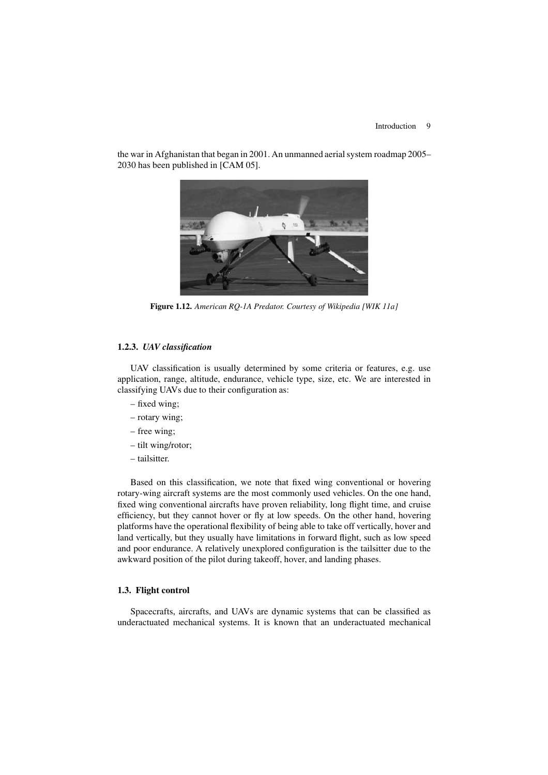

the war in Afghanistan that began in 2001. An unmanned aerial system roadmap 2005– 2030 has been published in [CAM 05].

**Figure 1.12.** *American RQ-1A Predator. Courtesy of Wikipedia [WIK 11a]*

### **1.2.3.** *UAV classification*

UAV classification is usually determined by some criteria or features, e.g. use application, range, altitude, endurance, vehicle type, size, etc. We are interested in classifying UAVs due to their configuration as:

- fixed wing;
- rotary wing;
- free wing;
- tilt wing/rotor;
- tailsitter.

Based on this classification, we note that fixed wing conventional or hovering rotary-wing aircraft systems are the most commonly used vehicles. On the one hand, fixed wing conventional aircrafts have proven reliability, long flight time, and cruise efficiency, but they cannot hover or fly at low speeds. On the other hand, hovering platforms have the operational flexibility of being able to take off vertically, hover and land vertically, but they usually have limitations in forward flight, such as low speed and poor endurance. A relatively unexplored configuration is the tailsitter due to the awkward position of the pilot during takeoff, hover, and landing phases.

### **1.3. Flight control**

Spacecrafts, aircrafts, and UAVs are dynamic systems that can be classified as underactuated mechanical systems. It is known that an underactuated mechanical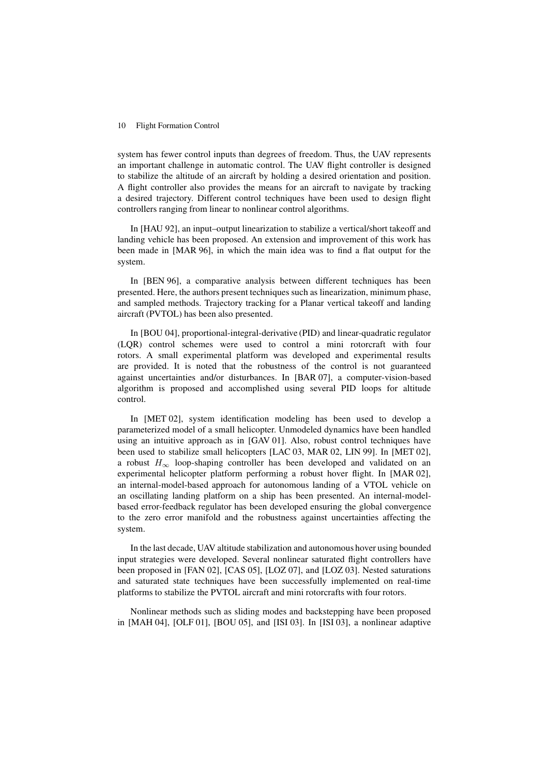system has fewer control inputs than degrees of freedom. Thus, the UAV represents an important challenge in automatic control. The UAV flight controller is designed to stabilize the altitude of an aircraft by holding a desired orientation and position. A flight controller also provides the means for an aircraft to navigate by tracking a desired trajectory. Different control techniques have been used to design flight controllers ranging from linear to nonlinear control algorithms.

In [HAU 92], an input–output linearization to stabilize a vertical/short takeoff and landing vehicle has been proposed. An extension and improvement of this work has been made in [MAR 96], in which the main idea was to find a flat output for the system.

In [BEN 96], a comparative analysis between different techniques has been presented. Here, the authors present techniques such as linearization, minimum phase, and sampled methods. Trajectory tracking for a Planar vertical takeoff and landing aircraft (PVTOL) has been also presented.

In [BOU 04], proportional-integral-derivative (PID) and linear-quadratic regulator (LQR) control schemes were used to control a mini rotorcraft with four rotors. A small experimental platform was developed and experimental results are provided. It is noted that the robustness of the control is not guaranteed against uncertainties and/or disturbances. In [BAR 07], a computer-vision-based algorithm is proposed and accomplished using several PID loops for altitude control.

In [MET 02], system identification modeling has been used to develop a parameterized model of a small helicopter. Unmodeled dynamics have been handled using an intuitive approach as in [GAV 01]. Also, robust control techniques have been used to stabilize small helicopters [LAC 03, MAR 02, LIN 99]. In [MET 02], a robust  $H_{\infty}$  loop-shaping controller has been developed and validated on an experimental helicopter platform performing a robust hover flight. In [MAR 02], an internal-model-based approach for autonomous landing of a VTOL vehicle on an oscillating landing platform on a ship has been presented. An internal-modelbased error-feedback regulator has been developed ensuring the global convergence to the zero error manifold and the robustness against uncertainties affecting the system.

In the last decade, UAV altitude stabilization and autonomous hover using bounded input strategies were developed. Several nonlinear saturated flight controllers have been proposed in [FAN 02], [CAS 05], [LOZ 07], and [LOZ 03]. Nested saturations and saturated state techniques have been successfully implemented on real-time platforms to stabilize the PVTOL aircraft and mini rotorcrafts with four rotors.

Nonlinear methods such as sliding modes and backstepping have been proposed in [MAH 04], [OLF 01], [BOU 05], and [ISI 03]. In [ISI 03], a nonlinear adaptive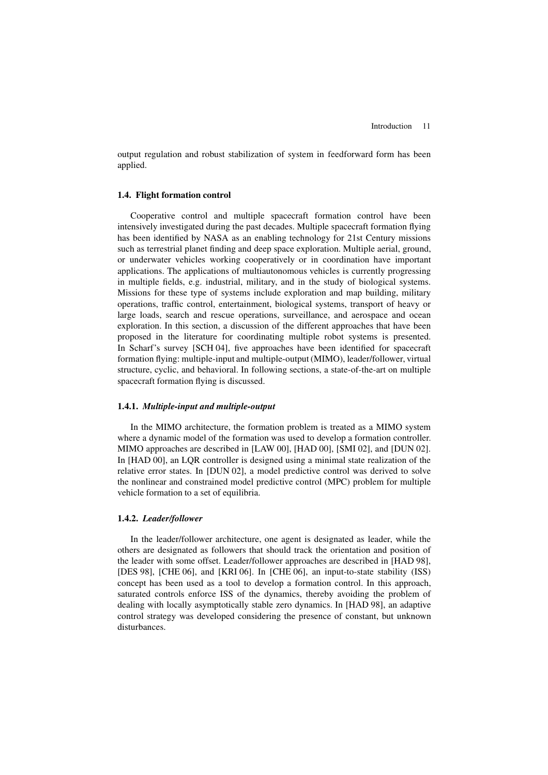output regulation and robust stabilization of system in feedforward form has been applied.

### **1.4. Flight formation control**

Cooperative control and multiple spacecraft formation control have been intensively investigated during the past decades. Multiple spacecraft formation flying has been identified by NASA as an enabling technology for 21st Century missions such as terrestrial planet finding and deep space exploration. Multiple aerial, ground, or underwater vehicles working cooperatively or in coordination have important applications. The applications of multiautonomous vehicles is currently progressing in multiple fields, e.g. industrial, military, and in the study of biological systems. Missions for these type of systems include exploration and map building, military operations, traffic control, entertainment, biological systems, transport of heavy or large loads, search and rescue operations, surveillance, and aerospace and ocean exploration. In this section, a discussion of the different approaches that have been proposed in the literature for coordinating multiple robot systems is presented. In Scharf's survey [SCH 04], five approaches have been identified for spacecraft formation flying: multiple-input and multiple-output (MIMO), leader/follower, virtual structure, cyclic, and behavioral. In following sections, a state-of-the-art on multiple spacecraft formation flying is discussed.

### **1.4.1.** *Multiple-input and multiple-output*

In the MIMO architecture, the formation problem is treated as a MIMO system where a dynamic model of the formation was used to develop a formation controller. MIMO approaches are described in [LAW 00], [HAD 00], [SMI 02], and [DUN 02]. In [HAD 00], an LQR controller is designed using a minimal state realization of the relative error states. In [DUN 02], a model predictive control was derived to solve the nonlinear and constrained model predictive control (MPC) problem for multiple vehicle formation to a set of equilibria.

### **1.4.2.** *Leader/follower*

In the leader/follower architecture, one agent is designated as leader, while the others are designated as followers that should track the orientation and position of the leader with some offset. Leader/follower approaches are described in [HAD 98], [DES 98], [CHE 06], and [KRI 06]. In [CHE 06], an input-to-state stability (ISS) concept has been used as a tool to develop a formation control. In this approach, saturated controls enforce ISS of the dynamics, thereby avoiding the problem of dealing with locally asymptotically stable zero dynamics. In [HAD 98], an adaptive control strategy was developed considering the presence of constant, but unknown disturbances.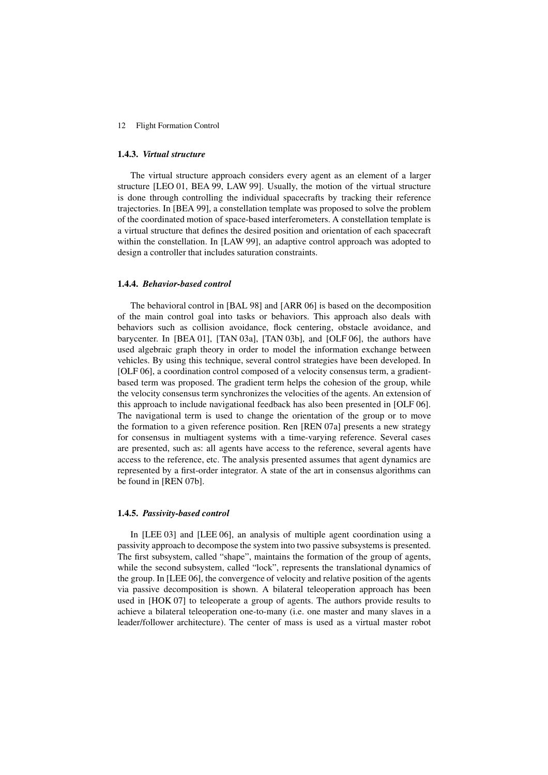### **1.4.3.** *Virtual structure*

The virtual structure approach considers every agent as an element of a larger structure [LEO 01, BEA 99, LAW 99]. Usually, the motion of the virtual structure is done through controlling the individual spacecrafts by tracking their reference trajectories. In [BEA 99], a constellation template was proposed to solve the problem of the coordinated motion of space-based interferometers. A constellation template is a virtual structure that defines the desired position and orientation of each spacecraft within the constellation. In [LAW 99], an adaptive control approach was adopted to design a controller that includes saturation constraints.

### **1.4.4.** *Behavior-based control*

The behavioral control in [BAL 98] and [ARR 06] is based on the decomposition of the main control goal into tasks or behaviors. This approach also deals with behaviors such as collision avoidance, flock centering, obstacle avoidance, and barycenter. In [BEA 01], [TAN 03a], [TAN 03b], and [OLF 06], the authors have used algebraic graph theory in order to model the information exchange between vehicles. By using this technique, several control strategies have been developed. In [OLF 06], a coordination control composed of a velocity consensus term, a gradientbased term was proposed. The gradient term helps the cohesion of the group, while the velocity consensus term synchronizes the velocities of the agents. An extension of this approach to include navigational feedback has also been presented in [OLF 06]. The navigational term is used to change the orientation of the group or to move the formation to a given reference position. Ren [REN 07a] presents a new strategy for consensus in multiagent systems with a time-varying reference. Several cases are presented, such as: all agents have access to the reference, several agents have access to the reference, etc. The analysis presented assumes that agent dynamics are represented by a first-order integrator. A state of the art in consensus algorithms can be found in [REN 07b].

#### **1.4.5.** *Passivity-based control*

In [LEE 03] and [LEE 06], an analysis of multiple agent coordination using a passivity approach to decompose the system into two passive subsystems is presented. The first subsystem, called "shape", maintains the formation of the group of agents, while the second subsystem, called "lock", represents the translational dynamics of the group. In [LEE 06], the convergence of velocity and relative position of the agents via passive decomposition is shown. A bilateral teleoperation approach has been used in [HOK 07] to teleoperate a group of agents. The authors provide results to achieve a bilateral teleoperation one-to-many (i.e. one master and many slaves in a leader/follower architecture). The center of mass is used as a virtual master robot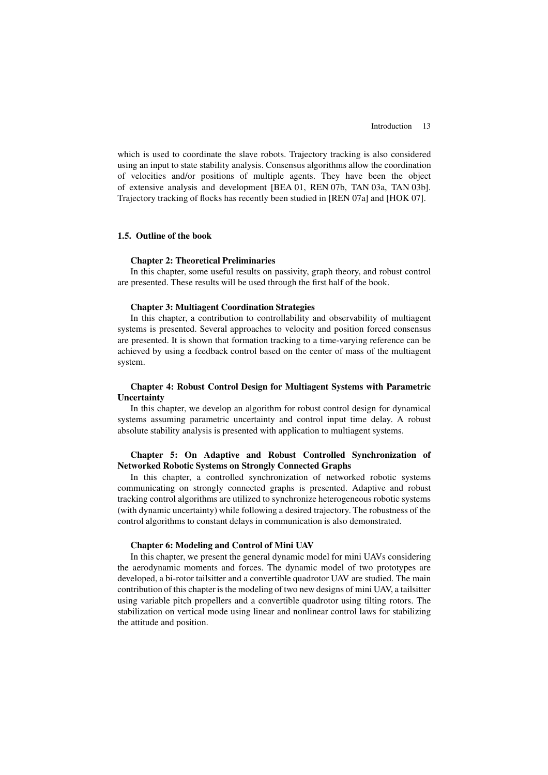which is used to coordinate the slave robots. Trajectory tracking is also considered using an input to state stability analysis. Consensus algorithms allow the coordination of velocities and/or positions of multiple agents. They have been the object of extensive analysis and development [BEA 01, REN 07b, TAN 03a, TAN 03b]. Trajectory tracking of flocks has recently been studied in [REN 07a] and [HOK 07].

### **1.5. Outline of the book**

### **Chapter 2: Theoretical Preliminaries**

In this chapter, some useful results on passivity, graph theory, and robust control are presented. These results will be used through the first half of the book.

### **Chapter 3: Multiagent Coordination Strategies**

In this chapter, a contribution to controllability and observability of multiagent systems is presented. Several approaches to velocity and position forced consensus are presented. It is shown that formation tracking to a time-varying reference can be achieved by using a feedback control based on the center of mass of the multiagent system.

### **Chapter 4: Robust Control Design for Multiagent Systems with Parametric Uncertainty**

In this chapter, we develop an algorithm for robust control design for dynamical systems assuming parametric uncertainty and control input time delay. A robust absolute stability analysis is presented with application to multiagent systems.

### **Chapter 5: On Adaptive and Robust Controlled Synchronization of Networked Robotic Systems on Strongly Connected Graphs**

In this chapter, a controlled synchronization of networked robotic systems communicating on strongly connected graphs is presented. Adaptive and robust tracking control algorithms are utilized to synchronize heterogeneous robotic systems (with dynamic uncertainty) while following a desired trajectory. The robustness of the control algorithms to constant delays in communication is also demonstrated.

### **Chapter 6: Modeling and Control of Mini UAV**

In this chapter, we present the general dynamic model for mini UAVs considering the aerodynamic moments and forces. The dynamic model of two prototypes are developed, a bi-rotor tailsitter and a convertible quadrotor UAV are studied. The main contribution of this chapter is the modeling of two new designs of mini UAV, a tailsitter using variable pitch propellers and a convertible quadrotor using tilting rotors. The stabilization on vertical mode using linear and nonlinear control laws for stabilizing the attitude and position.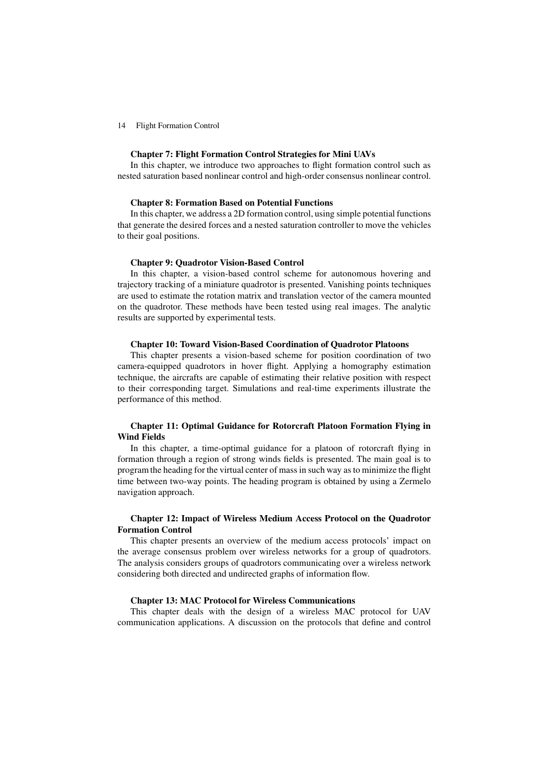### **Chapter 7: Flight Formation Control Strategies for Mini UAVs**

In this chapter, we introduce two approaches to flight formation control such as nested saturation based nonlinear control and high-order consensus nonlinear control.

#### **Chapter 8: Formation Based on Potential Functions**

In this chapter, we address a 2D formation control, using simple potential functions that generate the desired forces and a nested saturation controller to move the vehicles to their goal positions.

#### **Chapter 9: Quadrotor Vision-Based Control**

In this chapter, a vision-based control scheme for autonomous hovering and trajectory tracking of a miniature quadrotor is presented. Vanishing points techniques are used to estimate the rotation matrix and translation vector of the camera mounted on the quadrotor. These methods have been tested using real images. The analytic results are supported by experimental tests.

### **Chapter 10: Toward Vision-Based Coordination of Quadrotor Platoons**

This chapter presents a vision-based scheme for position coordination of two camera-equipped quadrotors in hover flight. Applying a homography estimation technique, the aircrafts are capable of estimating their relative position with respect to their corresponding target. Simulations and real-time experiments illustrate the performance of this method.

### **Chapter 11: Optimal Guidance for Rotorcraft Platoon Formation Flying in Wind Fields**

In this chapter, a time-optimal guidance for a platoon of rotorcraft flying in formation through a region of strong winds fields is presented. The main goal is to program the heading for the virtual center of mass in such way asto minimize the flight time between two-way points. The heading program is obtained by using a Zermelo navigation approach.

### **Chapter 12: Impact of Wireless Medium Access Protocol on the Quadrotor Formation Control**

This chapter presents an overview of the medium access protocols' impact on the average consensus problem over wireless networks for a group of quadrotors. The analysis considers groups of quadrotors communicating over a wireless network considering both directed and undirected graphs of information flow.

### **Chapter 13: MAC Protocol for Wireless Communications**

This chapter deals with the design of a wireless MAC protocol for UAV communication applications. A discussion on the protocols that define and control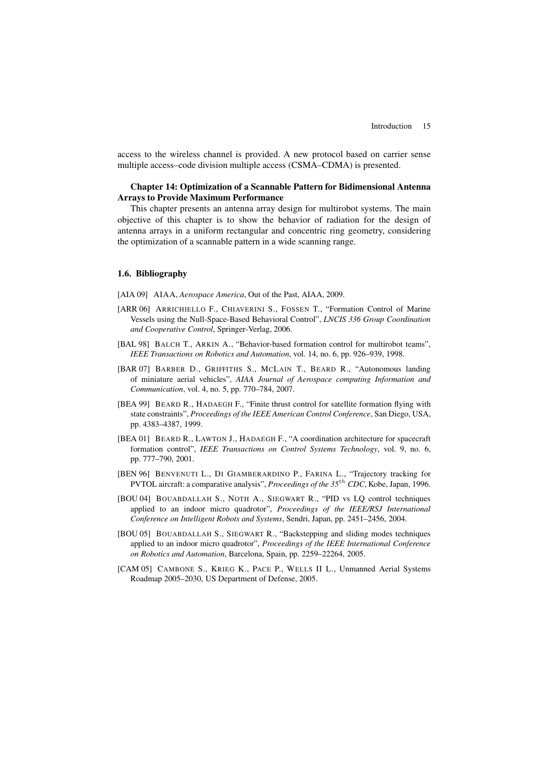access to the wireless channel is provided. A new protocol based on carrier sense multiple access–code division multiple access (CSMA–CDMA) is presented.

### **Chapter 14: Optimization of a Scannable Pattern for Bidimensional Antenna Arrays to Provide Maximum Performance**

This chapter presents an antenna array design for multirobot systems. The main objective of this chapter is to show the behavior of radiation for the design of antenna arrays in a uniform rectangular and concentric ring geometry, considering the optimization of a scannable pattern in a wide scanning range.

### **1.6. Bibliography**

[AIA 09] AIAA, *Aerospace America*, Out of the Past, AIAA, 2009.

- [ARR 06] ARRICHIELLO F., CHIAVERINI S., FOSSEN T., "Formation Control of Marine Vessels using the Null-Space-Based Behavioral Control", *LNCIS 336 Group Coordination and Cooperative Control*, Springer-Verlag, 2006.
- [BAL 98] BALCH T., ARKIN A., "Behavior-based formation control for multirobot teams", *IEEE Transactions on Robotics and Automation*, vol. 14, no. 6, pp. 926–939, 1998.
- [BAR 07] BARBER D., GRIFFITHS S., MCLAIN T., BEARD R., "Autonomous landing of miniature aerial vehicles", *AIAA Journal of Aerospace computing Information and Communication*, vol. 4, no. 5, pp. 770–784, 2007.
- [BEA 99] BEARD R., HADAEGH F., "Finite thrust control for satellite formation flying with state constraints", *Proceedings of the IEEE American Control Conference*, San Diego, USA, pp. 4383–4387, 1999.
- [BEA 01] BEARD R., LAWTON J., HADAEGH F., "A coordination architecture for spacecraft formation control", *IEEE Transactions on Control Systems Technology*, vol. 9, no. 6, pp. 777–790, 2001.
- [BEN 96] BENVENUTI L., DI GIAMBERARDINO P., FARINA L., "Trajectory tracking for PVTOL aircraft: a comparative analysis", *Proceedings of the 35* th *CDC*, Kobe, Japan, 1996.
- [BOU 04] BOUABDALLAH S., NOTH A., SIEGWART R., "PID vs LQ control techniques applied to an indoor micro quadrotor", *Proceedings of the IEEE/RSJ International Conference on Intelligent Robots and Systems*, Sendri, Japan, pp. 2451–2456, 2004.
- [BOU 05] BOUABDALLAH S., SIEGWART R., "Backstepping and sliding modes techniques applied to an indoor micro quadrotor", *Proceedings of the IEEE International Conference on Robotics and Automation*, Barcelona, Spain, pp. 2259–22264, 2005.
- [CAM 05] CAMBONE S., KRIEG K., PACE P., WELLS II L., Unmanned Aerial Systems Roadmap 2005–2030, US Department of Defense, 2005.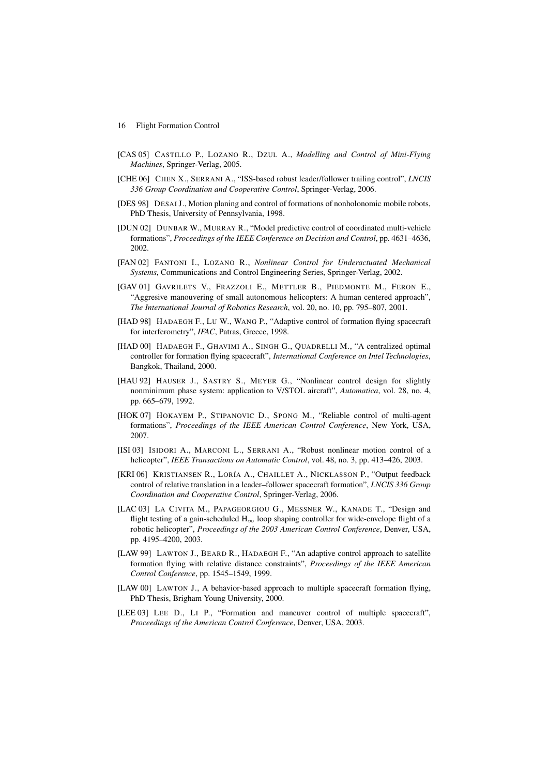- [CAS 05] CASTILLO P., LOZANO R., DZUL A., *Modelling and Control of Mini-Flying Machines*, Springer-Verlag, 2005.
- [CHE 06] CHEN X., SERRANI A., "ISS-based robust leader/follower trailing control", *LNCIS 336 Group Coordination and Cooperative Control*, Springer-Verlag, 2006.
- [DES 98] DESAI J., Motion planing and control of formations of nonholonomic mobile robots, PhD Thesis, University of Pennsylvania, 1998.
- [DUN 02] DUNBAR W., MURRAY R., "Model predictive control of coordinated multi-vehicle formations", *Proceedings of the IEEE Conference on Decision and Control*, pp. 4631–4636, 2002.
- [FAN 02] FANTONI I., LOZANO R., *Nonlinear Control for Underactuated Mechanical Systems*, Communications and Control Engineering Series, Springer-Verlag, 2002.
- [GAV 01] GAVRILETS V., FRAZZOLI E., METTLER B., PIEDMONTE M., FERON E., "Aggresive manouvering of small autonomous helicopters: A human centered approach", *The International Journal of Robotics Research*, vol. 20, no. 10, pp. 795–807, 2001.
- [HAD 98] HADAEGH F., LU W., WANG P., "Adaptive control of formation flying spacecraft for interferometry", *IFAC*, Patras, Greece, 1998.
- [HAD 00] HADAEGH F., GHAVIMI A., SINGH G., QUADRELLI M., "A centralized optimal controller for formation flying spacecraft", *International Conference on Intel Technologies*, Bangkok, Thailand, 2000.
- [HAU 92] HAUSER J., SASTRY S., MEYER G., "Nonlinear control design for slightly nonminimum phase system: application to V/STOL aircraft", *Automatica*, vol. 28, no. 4, pp. 665–679, 1992.
- [HOK 07] HOKAYEM P., STIPANOVIC D., SPONG M., "Reliable control of multi-agent formations", *Proceedings of the IEEE American Control Conference*, New York, USA, 2007.
- [ISI 03] ISIDORI A., MARCONI L., SERRANI A., "Robust nonlinear motion control of a helicopter", *IEEE Transactions on Automatic Control*, vol. 48, no. 3, pp. 413–426, 2003.
- [KRI 06] KRISTIANSEN R., LORÍA A., CHAILLET A., NICKLASSON P., "Output feedback control of relative translation in a leader–follower spacecraft formation", *LNCIS 336 Group Coordination and Cooperative Control*, Springer-Verlag, 2006.
- [LAC 03] LA CIVITA M., PAPAGEORGIOU G., MESSNER W., KANADE T., "Design and flight testing of a gain-scheduled  $H_{\infty}$  loop shaping controller for wide-envelope flight of a robotic helicopter", *Proceedings of the 2003 American Control Conference*, Denver, USA, pp. 4195–4200, 2003.
- [LAW 99] LAWTON J., BEARD R., HADAEGH F., "An adaptive control approach to satellite formation flying with relative distance constraints", *Proceedings of the IEEE American Control Conference*, pp. 1545–1549, 1999.
- [LAW 00] LAWTON J., A behavior-based approach to multiple spacecraft formation flying, PhD Thesis, Brigham Young University, 2000.
- [LEE 03] LEE D., LI P., "Formation and maneuver control of multiple spacecraft", *Proceedings of the American Control Conference*, Denver, USA, 2003.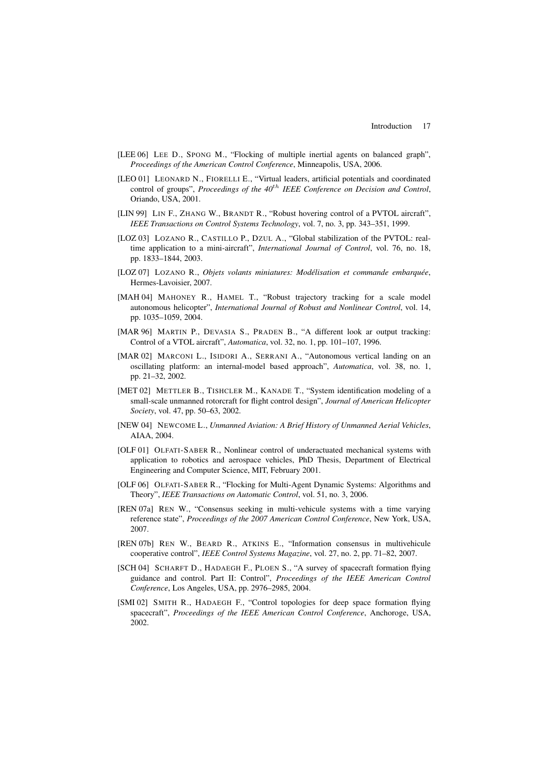- [LEE 06] LEE D., SPONG M., "Flocking of multiple inertial agents on balanced graph", *Proceedings of the American Control Conference*, Minneapolis, USA, 2006.
- [LEO 01] LEONARD N., FIORELLI E., "Virtual leaders, artificial potentials and coordinated control of groups", *Proceedings of the 40* th *IEEE Conference on Decision and Control*, Oriando, USA, 2001.
- [LIN 99] LIN F., ZHANG W., BRANDT R., "Robust hovering control of a PVTOL aircraft", *IEEE Transactions on Control Systems Technology*, vol. 7, no. 3, pp. 343–351, 1999.
- [LOZ 03] LOZANO R., CASTILLO P., DZUL A., "Global stabilization of the PVTOL: realtime application to a mini-aircraft", *International Journal of Control*, vol. 76, no. 18, pp. 1833–1844, 2003.
- [LOZ 07] LOZANO R., *Objets volants miniatures: Modélisation et commande embarquée*, Hermes-Lavoisier, 2007.
- [MAH 04] MAHONEY R., HAMEL T., "Robust trajectory tracking for a scale model autonomous helicopter", *International Journal of Robust and Nonlinear Control*, vol. 14, pp. 1035–1059, 2004.
- [MAR 96] MARTIN P., DEVASIA S., PRADEN B., "A different look ar output tracking: Control of a VTOL aircraft", *Automatica*, vol. 32, no. 1, pp. 101–107, 1996.
- [MAR 02] MARCONI L., ISIDORI A., SERRANI A., "Autonomous vertical landing on an oscillating platform: an internal-model based approach", *Automatica*, vol. 38, no. 1, pp. 21–32, 2002.
- [MET 02] METTLER B., TISHCLER M., KANADE T., "System identification modeling of a small-scale unmanned rotorcraft for flight control design", *Journal of American Helicopter Society*, vol. 47, pp. 50–63, 2002.
- [NEW 04] NEWCOME L., *Unmanned Aviation: A Brief History of Unmanned Aerial Vehicles*, AIAA, 2004.
- [OLF 01] OLFATI-SABER R., Nonlinear control of underactuated mechanical systems with application to robotics and aerospace vehicles, PhD Thesis, Department of Electrical Engineering and Computer Science, MIT, February 2001.
- [OLF 06] OLFATI-SABER R., "Flocking for Multi-Agent Dynamic Systems: Algorithms and Theory", *IEEE Transactions on Automatic Control*, vol. 51, no. 3, 2006.
- [REN 07a] REN W., "Consensus seeking in multi-vehicule systems with a time varying reference state", *Proceedings of the 2007 American Control Conference*, New York, USA, 2007.
- [REN 07b] REN W., BEARD R., ATKINS E., "Information consensus in multivehicule cooperative control", *IEEE Control Systems Magazine*, vol. 27, no. 2, pp. 71–82, 2007.
- [SCH 04] SCHARFT D., HADAEGH F., PLOEN S., "A survey of spacecraft formation flying guidance and control. Part II: Control", *Proceedings of the IEEE American Control Conference*, Los Angeles, USA, pp. 2976–2985, 2004.
- [SMI 02] SMITH R., HADAEGH F., "Control topologies for deep space formation flying spacecraft", *Proceedings of the IEEE American Control Conference*, Anchoroge, USA, 2002.